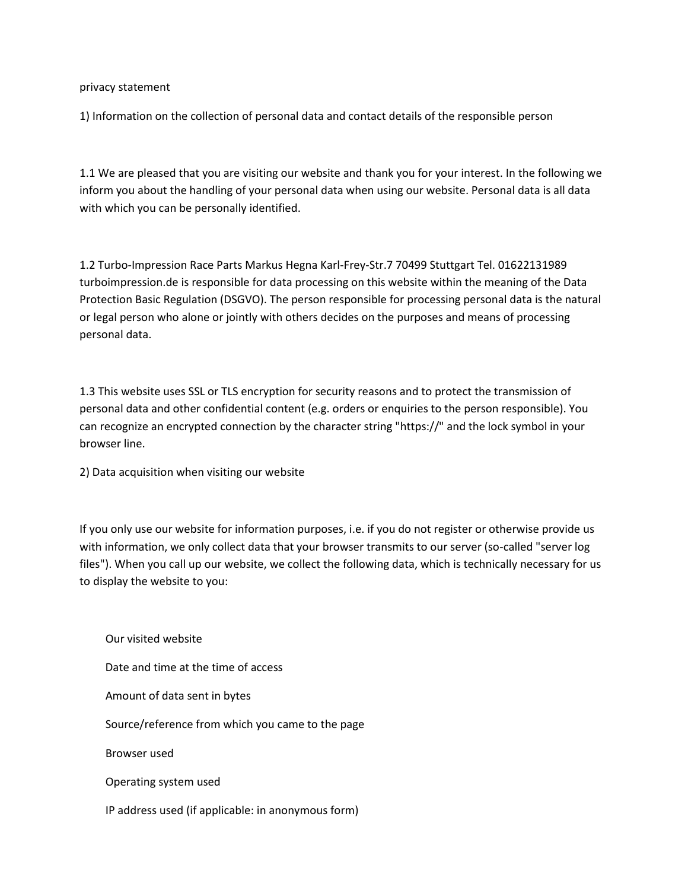privacy statement

1) Information on the collection of personal data and contact details of the responsible person

1.1 We are pleased that you are visiting our website and thank you for your interest. In the following we inform you about the handling of your personal data when using our website. Personal data is all data with which you can be personally identified.

1.2 Turbo-Impression Race Parts Markus Hegna Karl-Frey-Str.7 70499 Stuttgart Tel. 01622131989 turboimpression.de is responsible for data processing on this website within the meaning of the Data Protection Basic Regulation (DSGVO). The person responsible for processing personal data is the natural or legal person who alone or jointly with others decides on the purposes and means of processing personal data.

1.3 This website uses SSL or TLS encryption for security reasons and to protect the transmission of personal data and other confidential content (e.g. orders or enquiries to the person responsible). You can recognize an encrypted connection by the character string "https://" and the lock symbol in your browser line.

2) Data acquisition when visiting our website

If you only use our website for information purposes, i.e. if you do not register or otherwise provide us with information, we only collect data that your browser transmits to our server (so-called "server log files"). When you call up our website, we collect the following data, which is technically necessary for us to display the website to you:

 Our visited website Date and time at the time of access Amount of data sent in bytes Source/reference from which you came to the page Browser used Operating system used IP address used (if applicable: in anonymous form)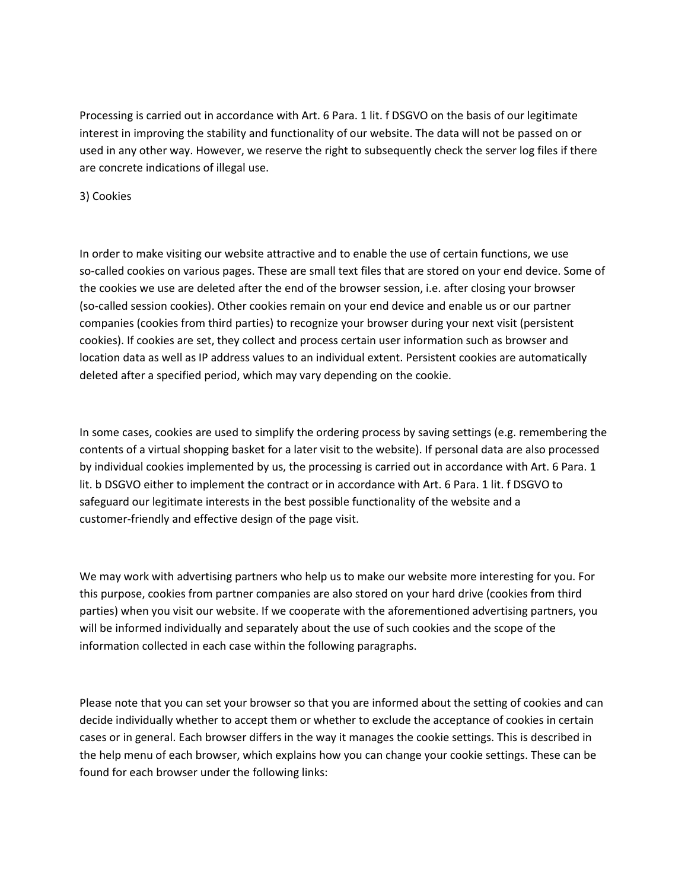Processing is carried out in accordance with Art. 6 Para. 1 lit. f DSGVO on the basis of our legitimate interest in improving the stability and functionality of our website. The data will not be passed on or used in any other way. However, we reserve the right to subsequently check the server log files if there are concrete indications of illegal use.

3) Cookies

In order to make visiting our website attractive and to enable the use of certain functions, we use so-called cookies on various pages. These are small text files that are stored on your end device. Some of the cookies we use are deleted after the end of the browser session, i.e. after closing your browser (so-called session cookies). Other cookies remain on your end device and enable us or our partner companies (cookies from third parties) to recognize your browser during your next visit (persistent cookies). If cookies are set, they collect and process certain user information such as browser and location data as well as IP address values to an individual extent. Persistent cookies are automatically deleted after a specified period, which may vary depending on the cookie.

In some cases, cookies are used to simplify the ordering process by saving settings (e.g. remembering the contents of a virtual shopping basket for a later visit to the website). If personal data are also processed by individual cookies implemented by us, the processing is carried out in accordance with Art. 6 Para. 1 lit. b DSGVO either to implement the contract or in accordance with Art. 6 Para. 1 lit. f DSGVO to safeguard our legitimate interests in the best possible functionality of the website and a customer-friendly and effective design of the page visit.

We may work with advertising partners who help us to make our website more interesting for you. For this purpose, cookies from partner companies are also stored on your hard drive (cookies from third parties) when you visit our website. If we cooperate with the aforementioned advertising partners, you will be informed individually and separately about the use of such cookies and the scope of the information collected in each case within the following paragraphs.

Please note that you can set your browser so that you are informed about the setting of cookies and can decide individually whether to accept them or whether to exclude the acceptance of cookies in certain cases or in general. Each browser differs in the way it manages the cookie settings. This is described in the help menu of each browser, which explains how you can change your cookie settings. These can be found for each browser under the following links: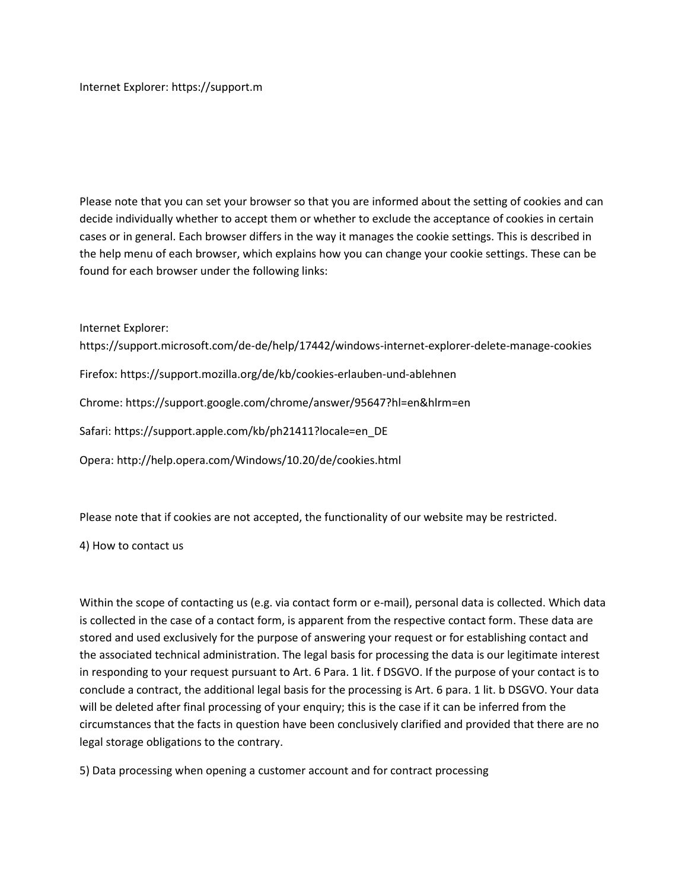Internet Explorer[: https://support.m](https://support.m/) 

Please note that you can set your browser so that you are informed about the setting of cookies and can decide individually whether to accept them or whether to exclude the acceptance of cookies in certain cases or in general. Each browser differs in the way it manages the cookie settings. This is described in the help menu of each browser, which explains how you can change your cookie settings. These can be found for each browser under the following links:

Internet Explorer:

<https://support.microsoft.com/de-de/help/17442/windows-internet-explorer-delete-manage-cookies>

Firefox:<https://support.mozilla.org/de/kb/cookies-erlauben-und-ablehnen>

Chrome:<https://support.google.com/chrome/answer/95647?hl=en&hlrm=en>

Safari[: https://support.apple.com/kb/ph21411?locale=en\\_DE](https://support.apple.com/kb/ph21411?locale=en_DE) 

Opera:<http://help.opera.com/Windows/10.20/de/cookies.html>

Please note that if cookies are not accepted, the functionality of our website may be restricted.

4) How to contact us

Within the scope of contacting us (e.g. via contact form or e-mail), personal data is collected. Which data is collected in the case of a contact form, is apparent from the respective contact form. These data are stored and used exclusively for the purpose of answering your request or for establishing contact and the associated technical administration. The legal basis for processing the data is our legitimate interest in responding to your request pursuant to Art. 6 Para. 1 lit. f DSGVO. If the purpose of your contact is to conclude a contract, the additional legal basis for the processing is Art. 6 para. 1 lit. b DSGVO. Your data will be deleted after final processing of your enquiry; this is the case if it can be inferred from the circumstances that the facts in question have been conclusively clarified and provided that there are no legal storage obligations to the contrary.

5) Data processing when opening a customer account and for contract processing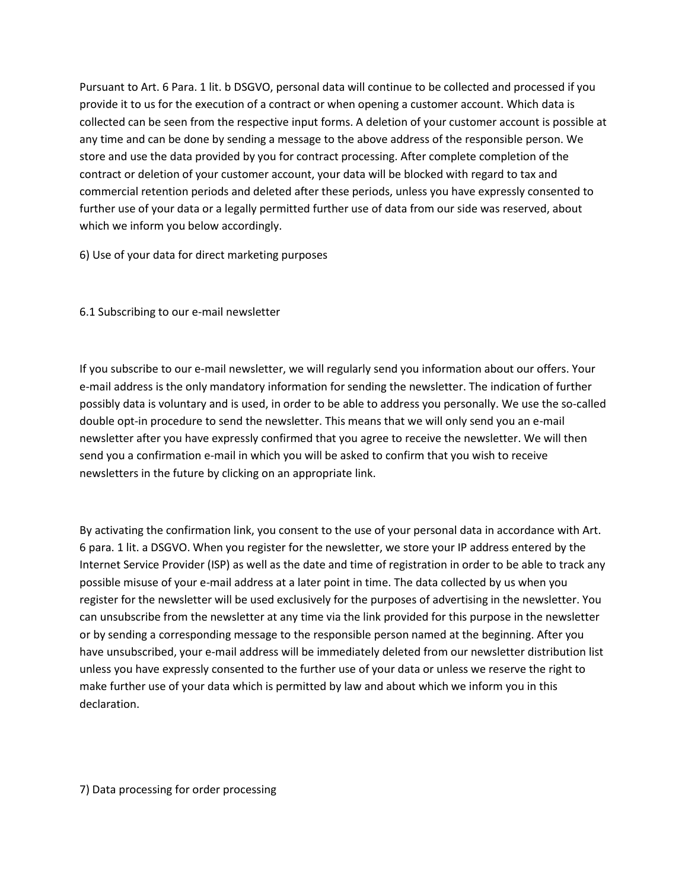Pursuant to Art. 6 Para. 1 lit. b DSGVO, personal data will continue to be collected and processed if you provide it to us for the execution of a contract or when opening a customer account. Which data is collected can be seen from the respective input forms. A deletion of your customer account is possible at any time and can be done by sending a message to the above address of the responsible person. We store and use the data provided by you for contract processing. After complete completion of the contract or deletion of your customer account, your data will be blocked with regard to tax and commercial retention periods and deleted after these periods, unless you have expressly consented to further use of your data or a legally permitted further use of data from our side was reserved, about which we inform you below accordingly.

6) Use of your data for direct marketing purposes

6.1 Subscribing to our e-mail newsletter

If you subscribe to our e-mail newsletter, we will regularly send you information about our offers. Your e-mail address is the only mandatory information for sending the newsletter. The indication of further possibly data is voluntary and is used, in order to be able to address you personally. We use the so-called double opt-in procedure to send the newsletter. This means that we will only send you an e-mail newsletter after you have expressly confirmed that you agree to receive the newsletter. We will then send you a confirmation e-mail in which you will be asked to confirm that you wish to receive newsletters in the future by clicking on an appropriate link.

By activating the confirmation link, you consent to the use of your personal data in accordance with Art. 6 para. 1 lit. a DSGVO. When you register for the newsletter, we store your IP address entered by the Internet Service Provider (ISP) as well as the date and time of registration in order to be able to track any possible misuse of your e-mail address at a later point in time. The data collected by us when you register for the newsletter will be used exclusively for the purposes of advertising in the newsletter. You can unsubscribe from the newsletter at any time via the link provided for this purpose in the newsletter or by sending a corresponding message to the responsible person named at the beginning. After you have unsubscribed, your e-mail address will be immediately deleted from our newsletter distribution list unless you have expressly consented to the further use of your data or unless we reserve the right to make further use of your data which is permitted by law and about which we inform you in this declaration.

7) Data processing for order processing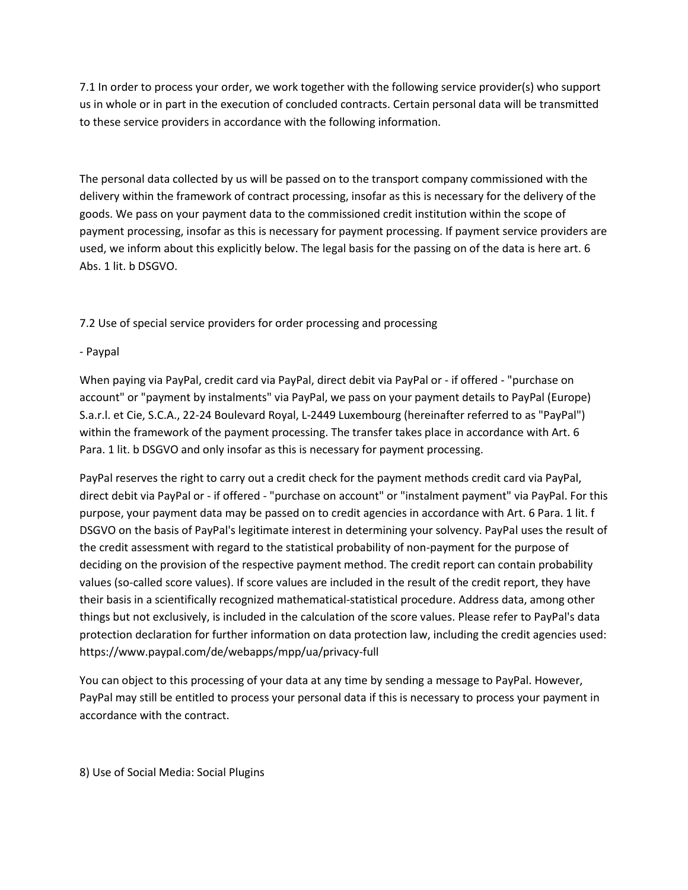7.1 In order to process your order, we work together with the following service provider(s) who support us in whole or in part in the execution of concluded contracts. Certain personal data will be transmitted to these service providers in accordance with the following information.

The personal data collected by us will be passed on to the transport company commissioned with the delivery within the framework of contract processing, insofar as this is necessary for the delivery of the goods. We pass on your payment data to the commissioned credit institution within the scope of payment processing, insofar as this is necessary for payment processing. If payment service providers are used, we inform about this explicitly below. The legal basis for the passing on of the data is here art. 6 Abs. 1 lit. b DSGVO.

7.2 Use of special service providers for order processing and processing

# - Paypal

When paying via PayPal, credit card via PayPal, direct debit via PayPal or - if offered - "purchase on account" or "payment by instalments" via PayPal, we pass on your payment details to PayPal (Europe) S.a.r.l. et Cie, S.C.A., 22-24 Boulevard Royal, L-2449 Luxembourg (hereinafter referred to as "PayPal") within the framework of the payment processing. The transfer takes place in accordance with Art. 6 Para. 1 lit. b DSGVO and only insofar as this is necessary for payment processing.

PayPal reserves the right to carry out a credit check for the payment methods credit card via PayPal, direct debit via PayPal or - if offered - "purchase on account" or "instalment payment" via PayPal. For this purpose, your payment data may be passed on to credit agencies in accordance with Art. 6 Para. 1 lit. f DSGVO on the basis of PayPal's legitimate interest in determining your solvency. PayPal uses the result of the credit assessment with regard to the statistical probability of non-payment for the purpose of deciding on the provision of the respective payment method. The credit report can contain probability values (so-called score values). If score values are included in the result of the credit report, they have their basis in a scientifically recognized mathematical-statistical procedure. Address data, among other things but not exclusively, is included in the calculation of the score values. Please refer to PayPal's data protection declaration for further information on data protection law, including the credit agencies used: <https://www.paypal.com/de/webapps/mpp/ua/privacy-full>

You can object to this processing of your data at any time by sending a message to PayPal. However, PayPal may still be entitled to process your personal data if this is necessary to process your payment in accordance with the contract.

8) Use of Social Media: Social Plugins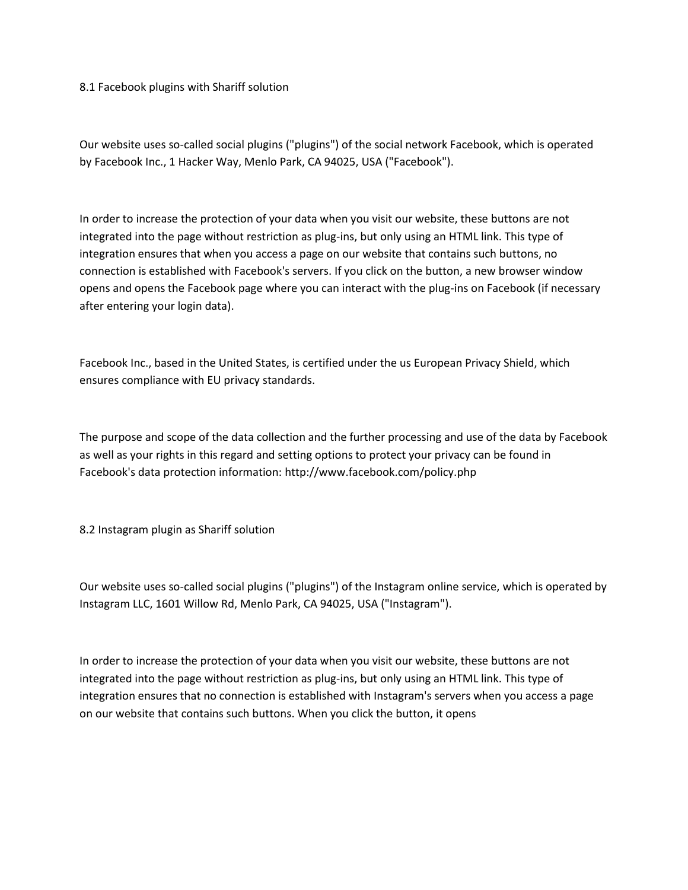8.1 Facebook plugins with Shariff solution

Our website uses so-called social plugins ("plugins") of the social network Facebook, which is operated by Facebook Inc., 1 Hacker Way, Menlo Park, CA 94025, USA ("Facebook").

In order to increase the protection of your data when you visit our website, these buttons are not integrated into the page without restriction as plug-ins, but only using an HTML link. This type of integration ensures that when you access a page on our website that contains such buttons, no connection is established with Facebook's servers. If you click on the button, a new browser window opens and opens the Facebook page where you can interact with the plug-ins on Facebook (if necessary after entering your login data).

Facebook Inc., based in the United States, is certified under the us European Privacy Shield, which ensures compliance with EU privacy standards.

The purpose and scope of the data collection and the further processing and use of the data by Facebook as well as your rights in this regard and setting options to protect your privacy can be found in Facebook's data protection information:<http://www.facebook.com/policy.php>

8.2 Instagram plugin as Shariff solution

Our website uses so-called social plugins ("plugins") of the Instagram online service, which is operated by Instagram LLC, 1601 Willow Rd, Menlo Park, CA 94025, USA ("Instagram").

In order to increase the protection of your data when you visit our website, these buttons are not integrated into the page without restriction as plug-ins, but only using an HTML link. This type of integration ensures that no connection is established with Instagram's servers when you access a page on our website that contains such buttons. When you click the button, it opens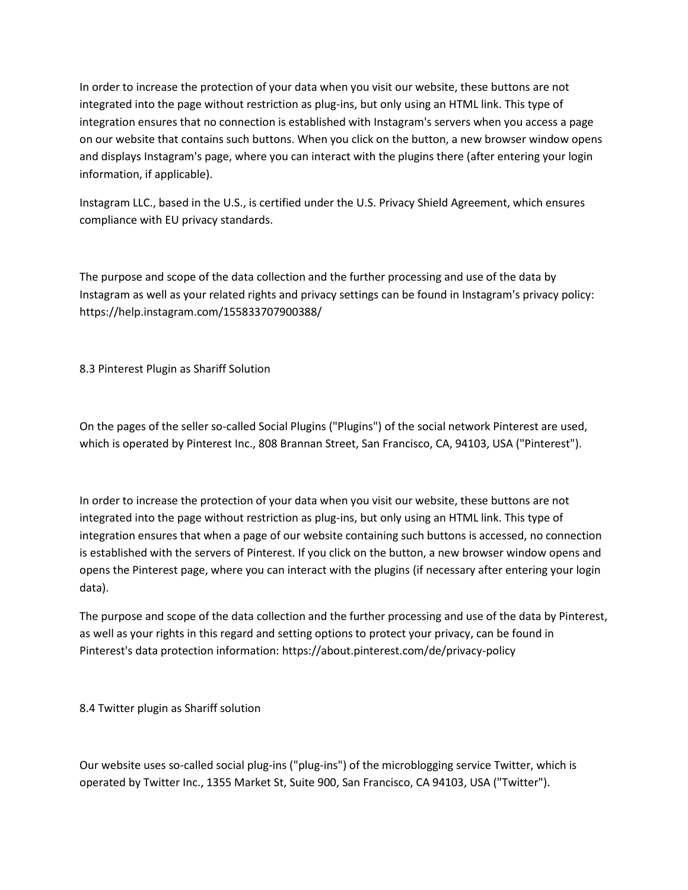In order to increase the protection of your data when you visit our website, these buttons are not integrated into the page without restriction as plug-ins, but only using an HTML link. This type of integration ensures that no connection is established with Instagram's servers when you access a page on our website that contains such buttons. When you click on the button, a new browser window opens and displays Instagram's page, where you can interact with the plugins there (after entering your login information, if applicable).

Instagram LLC., based in the U.S., is certified under the U.S. Privacy Shield Agreement, which ensures compliance with EU privacy standards.

The purpose and scope of the data collection and the further processing and use of the data by Instagram as well as your related rights and privacy settings can be found in Instagram's privacy policy: <https://help.instagram.com/155833707900388/>

8.3 Pinterest Plugin as Shariff Solution

On the pages of the seller so-called Social Plugins ("Plugins") of the social network Pinterest are used, which is operated by Pinterest Inc., 808 Brannan Street, San Francisco, CA, 94103, USA ("Pinterest").

In order to increase the protection of your data when you visit our website, these buttons are not integrated into the page without restriction as plug-ins, but only using an HTML link. This type of integration ensures that when a page of our website containing such buttons is accessed, no connection is established with the servers of Pinterest. If you click on the button, a new browser window opens and opens the Pinterest page, where you can interact with the plugins (if necessary after entering your login data).

The purpose and scope of the data collection and the further processing and use of the data by Pinterest, as well as your rights in this regard and setting options to protect your privacy, can be found in Pinterest's data protection information:<https://about.pinterest.com/de/privacy-policy>

8.4 Twitter plugin as Shariff solution

Our website uses so-called social plug-ins ("plug-ins") of the microblogging service Twitter, which is operated by Twitter Inc., 1355 Market St, Suite 900, San Francisco, CA 94103, USA ("Twitter").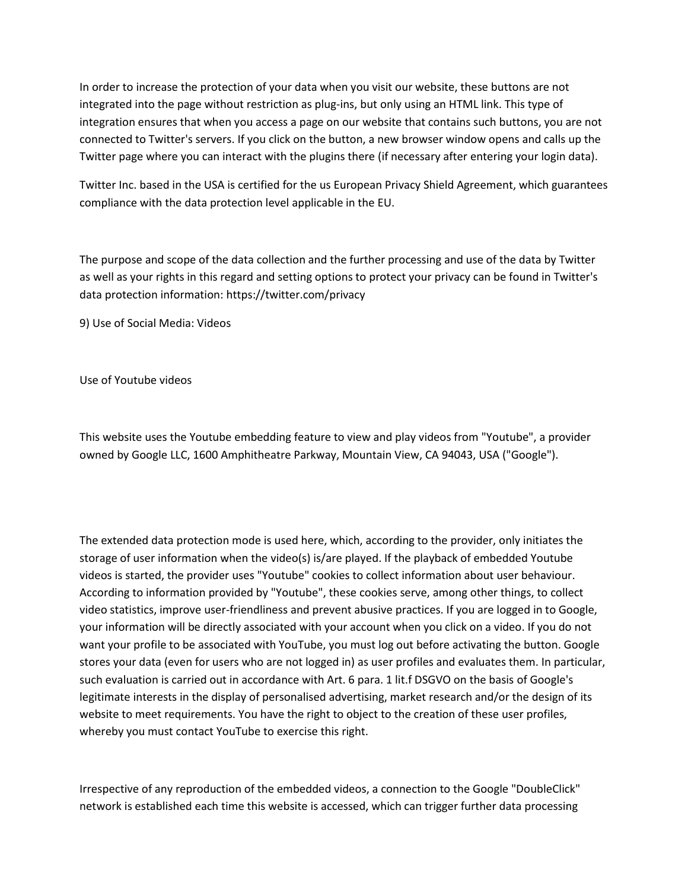In order to increase the protection of your data when you visit our website, these buttons are not integrated into the page without restriction as plug-ins, but only using an HTML link. This type of integration ensures that when you access a page on our website that contains such buttons, you are not connected to Twitter's servers. If you click on the button, a new browser window opens and calls up the Twitter page where you can interact with the plugins there (if necessary after entering your login data).

Twitter Inc. based in the USA is certified for the us European Privacy Shield Agreement, which guarantees compliance with the data protection level applicable in the EU.

The purpose and scope of the data collection and the further processing and use of the data by Twitter as well as your rights in this regard and setting options to protect your privacy can be found in Twitter's data protection information:<https://twitter.com/privacy>

9) Use of Social Media: Videos

Use of Youtube videos

This website uses the Youtube embedding feature to view and play videos from "Youtube", a provider owned by Google LLC, 1600 Amphitheatre Parkway, Mountain View, CA 94043, USA ("Google").

The extended data protection mode is used here, which, according to the provider, only initiates the storage of user information when the video(s) is/are played. If the playback of embedded Youtube videos is started, the provider uses "Youtube" cookies to collect information about user behaviour. According to information provided by "Youtube", these cookies serve, among other things, to collect video statistics, improve user-friendliness and prevent abusive practices. If you are logged in to Google, your information will be directly associated with your account when you click on a video. If you do not want your profile to be associated with YouTube, you must log out before activating the button. Google stores your data (even for users who are not logged in) as user profiles and evaluates them. In particular, such evaluation is carried out in accordance with Art. 6 para. 1 lit.f DSGVO on the basis of Google's legitimate interests in the display of personalised advertising, market research and/or the design of its website to meet requirements. You have the right to object to the creation of these user profiles, whereby you must contact YouTube to exercise this right.

Irrespective of any reproduction of the embedded videos, a connection to the Google "DoubleClick" network is established each time this website is accessed, which can trigger further data processing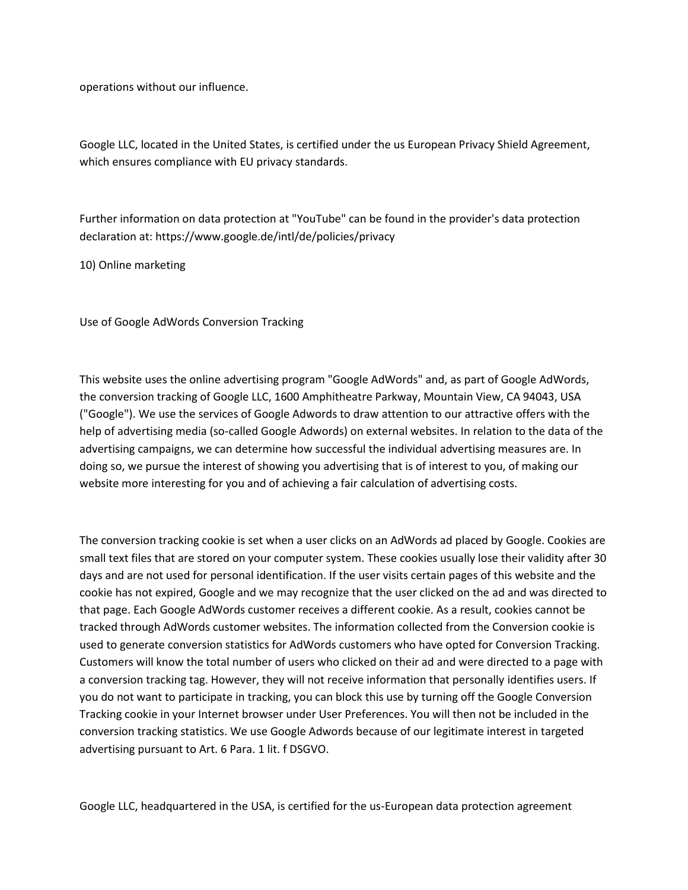operations without our influence.

Google LLC, located in the United States, is certified under the us European Privacy Shield Agreement, which ensures compliance with EU privacy standards.

Further information on data protection at "YouTube" can be found in the provider's data protection declaration at:<https://www.google.de/intl/de/policies/privacy>

10) Online marketing

Use of Google AdWords Conversion Tracking

This website uses the online advertising program "Google AdWords" and, as part of Google AdWords, the conversion tracking of Google LLC, 1600 Amphitheatre Parkway, Mountain View, CA 94043, USA ("Google"). We use the services of Google Adwords to draw attention to our attractive offers with the help of advertising media (so-called Google Adwords) on external websites. In relation to the data of the advertising campaigns, we can determine how successful the individual advertising measures are. In doing so, we pursue the interest of showing you advertising that is of interest to you, of making our website more interesting for you and of achieving a fair calculation of advertising costs.

The conversion tracking cookie is set when a user clicks on an AdWords ad placed by Google. Cookies are small text files that are stored on your computer system. These cookies usually lose their validity after 30 days and are not used for personal identification. If the user visits certain pages of this website and the cookie has not expired, Google and we may recognize that the user clicked on the ad and was directed to that page. Each Google AdWords customer receives a different cookie. As a result, cookies cannot be tracked through AdWords customer websites. The information collected from the Conversion cookie is used to generate conversion statistics for AdWords customers who have opted for Conversion Tracking. Customers will know the total number of users who clicked on their ad and were directed to a page with a conversion tracking tag. However, they will not receive information that personally identifies users. If you do not want to participate in tracking, you can block this use by turning off the Google Conversion Tracking cookie in your Internet browser under User Preferences. You will then not be included in the conversion tracking statistics. We use Google Adwords because of our legitimate interest in targeted advertising pursuant to Art. 6 Para. 1 lit. f DSGVO.

Google LLC, headquartered in the USA, is certified for the us-European data protection agreement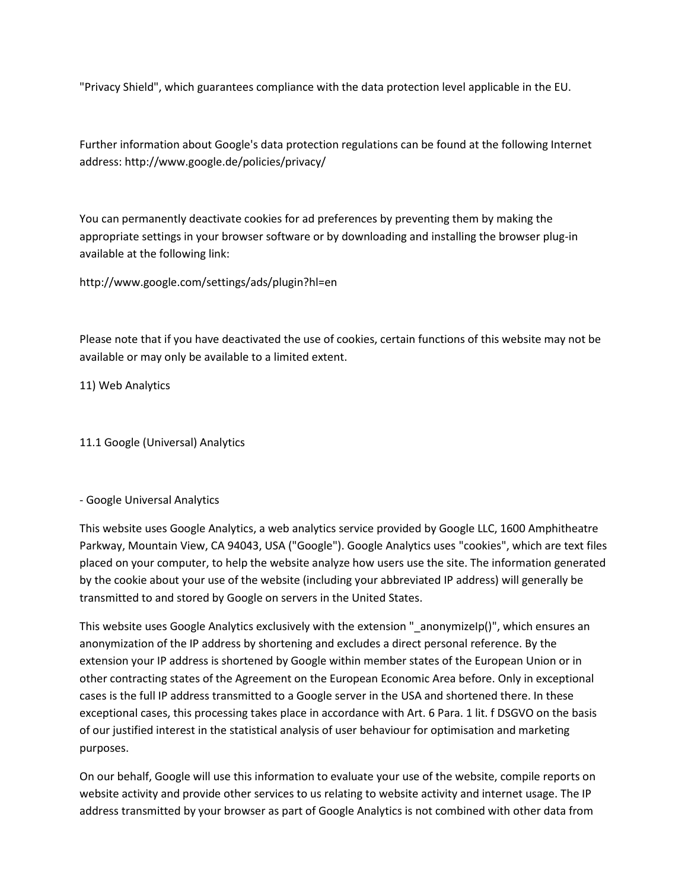"Privacy Shield", which guarantees compliance with the data protection level applicable in the EU.

Further information about Google's data protection regulations can be found at the following Internet address:<http://www.google.de/policies/privacy/>

You can permanently deactivate cookies for ad preferences by preventing them by making the appropriate settings in your browser software or by downloading and installing the browser plug-in available at the following link:

<http://www.google.com/settings/ads/plugin?hl=en>

Please note that if you have deactivated the use of cookies, certain functions of this website may not be available or may only be available to a limited extent.

11) Web Analytics

11.1 Google (Universal) Analytics

- Google Universal Analytics

This website uses Google Analytics, a web analytics service provided by Google LLC, 1600 Amphitheatre Parkway, Mountain View, CA 94043, USA ("Google"). Google Analytics uses "cookies", which are text files placed on your computer, to help the website analyze how users use the site. The information generated by the cookie about your use of the website (including your abbreviated IP address) will generally be transmitted to and stored by Google on servers in the United States.

This website uses Google Analytics exclusively with the extension "\_anonymizeIp()", which ensures an anonymization of the IP address by shortening and excludes a direct personal reference. By the extension your IP address is shortened by Google within member states of the European Union or in other contracting states of the Agreement on the European Economic Area before. Only in exceptional cases is the full IP address transmitted to a Google server in the USA and shortened there. In these exceptional cases, this processing takes place in accordance with Art. 6 Para. 1 lit. f DSGVO on the basis of our justified interest in the statistical analysis of user behaviour for optimisation and marketing purposes.

On our behalf, Google will use this information to evaluate your use of the website, compile reports on website activity and provide other services to us relating to website activity and internet usage. The IP address transmitted by your browser as part of Google Analytics is not combined with other data from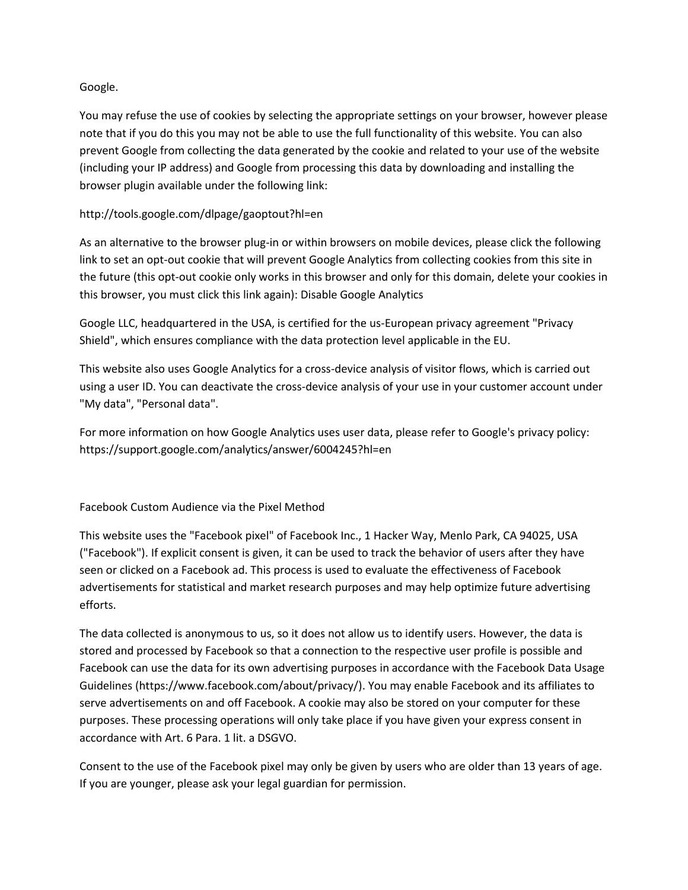### Google.

You may refuse the use of cookies by selecting the appropriate settings on your browser, however please note that if you do this you may not be able to use the full functionality of this website. You can also prevent Google from collecting the data generated by the cookie and related to your use of the website (including your IP address) and Google from processing this data by downloading and installing the browser plugin available under the following link:

# <http://tools.google.com/dlpage/gaoptout?hl=en>

As an alternative to the browser plug-in or within browsers on mobile devices, please click the following link to set an opt-out cookie that will prevent Google Analytics from collecting cookies from this site in the future (this opt-out cookie only works in this browser and only for this domain, delete your cookies in this browser, you must click this link again): Disable Google Analytics

Google LLC, headquartered in the USA, is certified for the us-European privacy agreement "Privacy Shield", which ensures compliance with the data protection level applicable in the EU.

This website also uses Google Analytics for a cross-device analysis of visitor flows, which is carried out using a user ID. You can deactivate the cross-device analysis of your use in your customer account under "My data", "Personal data".

For more information on how Google Analytics uses user data, please refer to Google's privacy policy: <https://support.google.com/analytics/answer/6004245?hl=en>

### Facebook Custom Audience via the Pixel Method

This website uses the "Facebook pixel" of Facebook Inc., 1 Hacker Way, Menlo Park, CA 94025, USA ("Facebook"). If explicit consent is given, it can be used to track the behavior of users after they have seen or clicked on a Facebook ad. This process is used to evaluate the effectiveness of Facebook advertisements for statistical and market research purposes and may help optimize future advertising efforts.

The data collected is anonymous to us, so it does not allow us to identify users. However, the data is stored and processed by Facebook so that a connection to the respective user profile is possible and Facebook can use the data for its own advertising purposes in accordance with the Facebook Data Usage Guidelines [\(https://www.facebook.com/about/privacy/\)](https://www.facebook.com/about/privacy/). You may enable Facebook and its affiliates to serve advertisements on and off Facebook. A cookie may also be stored on your computer for these purposes. These processing operations will only take place if you have given your express consent in accordance with Art. 6 Para. 1 lit. a DSGVO.

Consent to the use of the Facebook pixel may only be given by users who are older than 13 years of age. If you are younger, please ask your legal guardian for permission.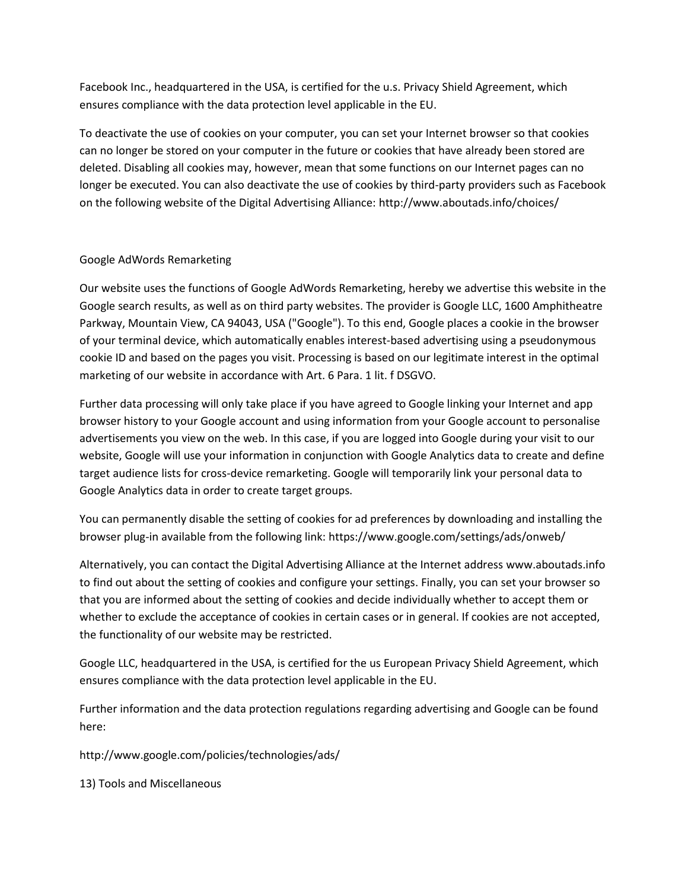Facebook Inc., headquartered in the USA, is certified for the u.s. Privacy Shield Agreement, which ensures compliance with the data protection level applicable in the EU.

To deactivate the use of cookies on your computer, you can set your Internet browser so that cookies can no longer be stored on your computer in the future or cookies that have already been stored are deleted. Disabling all cookies may, however, mean that some functions on our Internet pages can no longer be executed. You can also deactivate the use of cookies by third-party providers such as Facebook on the following website of the Digital Advertising Alliance:<http://www.aboutads.info/choices/>

# Google AdWords Remarketing

Our website uses the functions of Google AdWords Remarketing, hereby we advertise this website in the Google search results, as well as on third party websites. The provider is Google LLC, 1600 Amphitheatre Parkway, Mountain View, CA 94043, USA ("Google"). To this end, Google places a cookie in the browser of your terminal device, which automatically enables interest-based advertising using a pseudonymous cookie ID and based on the pages you visit. Processing is based on our legitimate interest in the optimal marketing of our website in accordance with Art. 6 Para. 1 lit. f DSGVO.

Further data processing will only take place if you have agreed to Google linking your Internet and app browser history to your Google account and using information from your Google account to personalise advertisements you view on the web. In this case, if you are logged into Google during your visit to our website, Google will use your information in conjunction with Google Analytics data to create and define target audience lists for cross-device remarketing. Google will temporarily link your personal data to Google Analytics data in order to create target groups.

You can permanently disable the setting of cookies for ad preferences by downloading and installing the browser plug-in available from the following link:<https://www.google.com/settings/ads/onweb/>

Alternatively, you can contact the Digital Advertising Alliance at the Internet address www.aboutads.info to find out about the setting of cookies and configure your settings. Finally, you can set your browser so that you are informed about the setting of cookies and decide individually whether to accept them or whether to exclude the acceptance of cookies in certain cases or in general. If cookies are not accepted, the functionality of our website may be restricted.

Google LLC, headquartered in the USA, is certified for the us European Privacy Shield Agreement, which ensures compliance with the data protection level applicable in the EU.

Further information and the data protection regulations regarding advertising and Google can be found here:

<http://www.google.com/policies/technologies/ads/>

13) Tools and Miscellaneous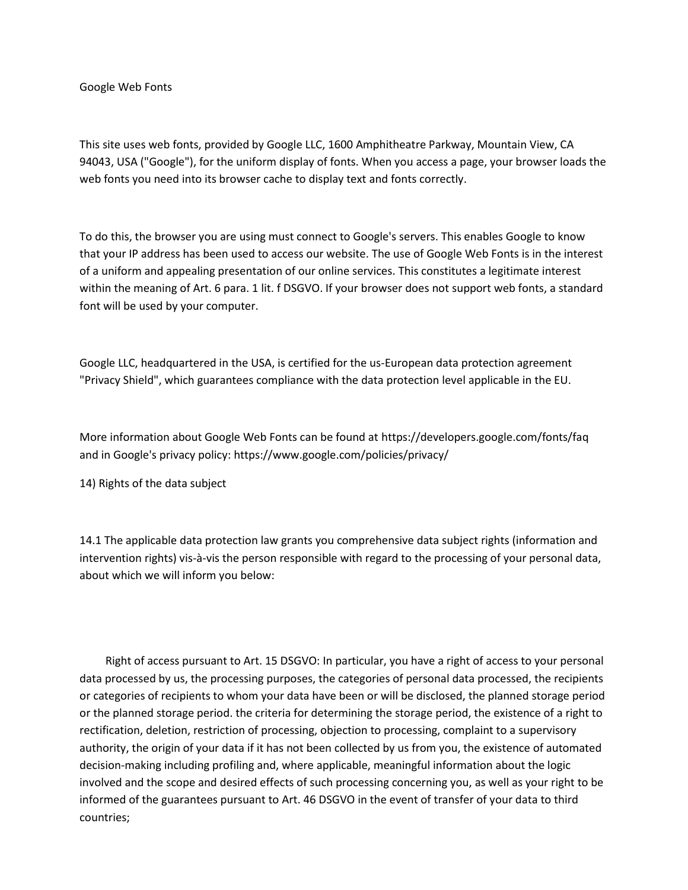Google Web Fonts

This site uses web fonts, provided by Google LLC, 1600 Amphitheatre Parkway, Mountain View, CA 94043, USA ("Google"), for the uniform display of fonts. When you access a page, your browser loads the web fonts you need into its browser cache to display text and fonts correctly.

To do this, the browser you are using must connect to Google's servers. This enables Google to know that your IP address has been used to access our website. The use of Google Web Fonts is in the interest of a uniform and appealing presentation of our online services. This constitutes a legitimate interest within the meaning of Art. 6 para. 1 lit. f DSGVO. If your browser does not support web fonts, a standard font will be used by your computer.

Google LLC, headquartered in the USA, is certified for the us-European data protection agreement "Privacy Shield", which guarantees compliance with the data protection level applicable in the EU.

More information about Google Web Fonts can be found at<https://developers.google.com/fonts/faq> and in Google's privacy policy:<https://www.google.com/policies/privacy/>

14) Rights of the data subject

14.1 The applicable data protection law grants you comprehensive data subject rights (information and intervention rights) vis-à-vis the person responsible with regard to the processing of your personal data, about which we will inform you below:

 Right of access pursuant to Art. 15 DSGVO: In particular, you have a right of access to your personal data processed by us, the processing purposes, the categories of personal data processed, the recipients or categories of recipients to whom your data have been or will be disclosed, the planned storage period or the planned storage period. the criteria for determining the storage period, the existence of a right to rectification, deletion, restriction of processing, objection to processing, complaint to a supervisory authority, the origin of your data if it has not been collected by us from you, the existence of automated decision-making including profiling and, where applicable, meaningful information about the logic involved and the scope and desired effects of such processing concerning you, as well as your right to be informed of the guarantees pursuant to Art. 46 DSGVO in the event of transfer of your data to third countries;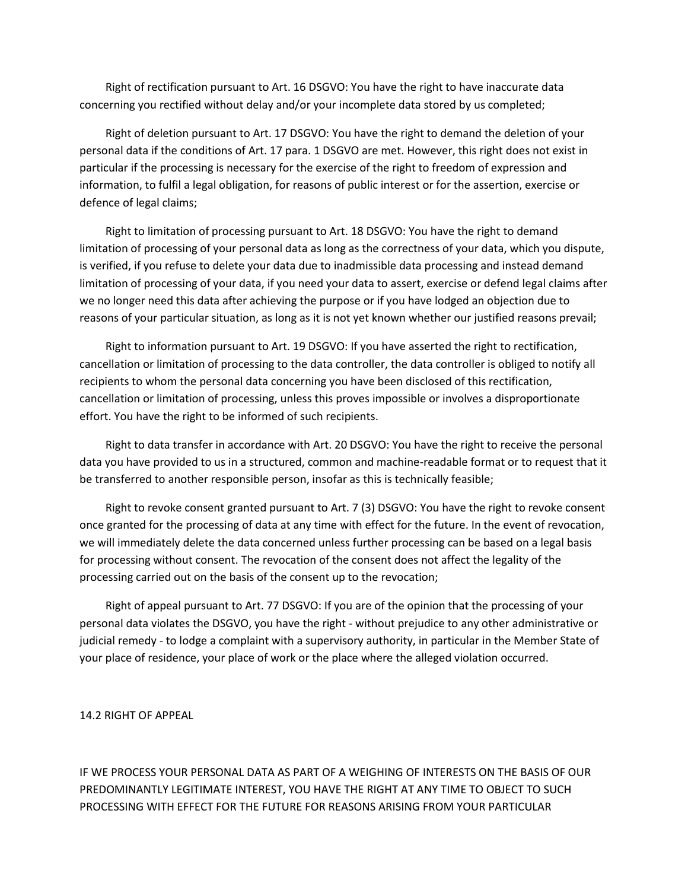Right of rectification pursuant to Art. 16 DSGVO: You have the right to have inaccurate data concerning you rectified without delay and/or your incomplete data stored by us completed;

 Right of deletion pursuant to Art. 17 DSGVO: You have the right to demand the deletion of your personal data if the conditions of Art. 17 para. 1 DSGVO are met. However, this right does not exist in particular if the processing is necessary for the exercise of the right to freedom of expression and information, to fulfil a legal obligation, for reasons of public interest or for the assertion, exercise or defence of legal claims;

 Right to limitation of processing pursuant to Art. 18 DSGVO: You have the right to demand limitation of processing of your personal data as long as the correctness of your data, which you dispute, is verified, if you refuse to delete your data due to inadmissible data processing and instead demand limitation of processing of your data, if you need your data to assert, exercise or defend legal claims after we no longer need this data after achieving the purpose or if you have lodged an objection due to reasons of your particular situation, as long as it is not yet known whether our justified reasons prevail;

 Right to information pursuant to Art. 19 DSGVO: If you have asserted the right to rectification, cancellation or limitation of processing to the data controller, the data controller is obliged to notify all recipients to whom the personal data concerning you have been disclosed of this rectification, cancellation or limitation of processing, unless this proves impossible or involves a disproportionate effort. You have the right to be informed of such recipients.

 Right to data transfer in accordance with Art. 20 DSGVO: You have the right to receive the personal data you have provided to us in a structured, common and machine-readable format or to request that it be transferred to another responsible person, insofar as this is technically feasible;

 Right to revoke consent granted pursuant to Art. 7 (3) DSGVO: You have the right to revoke consent once granted for the processing of data at any time with effect for the future. In the event of revocation, we will immediately delete the data concerned unless further processing can be based on a legal basis for processing without consent. The revocation of the consent does not affect the legality of the processing carried out on the basis of the consent up to the revocation;

 Right of appeal pursuant to Art. 77 DSGVO: If you are of the opinion that the processing of your personal data violates the DSGVO, you have the right - without prejudice to any other administrative or judicial remedy - to lodge a complaint with a supervisory authority, in particular in the Member State of your place of residence, your place of work or the place where the alleged violation occurred.

14.2 RIGHT OF APPEAL

IF WE PROCESS YOUR PERSONAL DATA AS PART OF A WEIGHING OF INTERESTS ON THE BASIS OF OUR PREDOMINANTLY LEGITIMATE INTEREST, YOU HAVE THE RIGHT AT ANY TIME TO OBJECT TO SUCH PROCESSING WITH EFFECT FOR THE FUTURE FOR REASONS ARISING FROM YOUR PARTICULAR